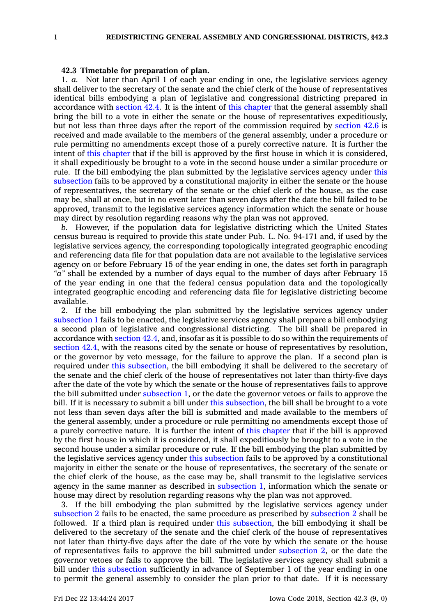## **42.3 Timetable for preparation of plan.**

1. *a.* Not later than April 1 of each year ending in one, the legislative services agency shall deliver to the secretary of the senate and the chief clerk of the house of representatives identical bills embodying <sup>a</sup> plan of legislative and congressional districting prepared in accordance with [section](https://www.legis.iowa.gov/docs/code/42.4.pdf) 42.4. It is the intent of this [chapter](https://www.legis.iowa.gov/docs/code//42.pdf) that the general assembly shall bring the bill to <sup>a</sup> vote in either the senate or the house of representatives expeditiously, but not less than three days after the report of the commission required by [section](https://www.legis.iowa.gov/docs/code/42.6.pdf) 42.6 is received and made available to the members of the general assembly, under <sup>a</sup> procedure or rule permitting no amendments except those of <sup>a</sup> purely corrective nature. It is further the intent of this [chapter](https://www.legis.iowa.gov/docs/code//42.pdf) that if the bill is approved by the first house in which it is considered, it shall expeditiously be brought to <sup>a</sup> vote in the second house under <sup>a</sup> similar procedure or rule. If the bill embodying the plan submitted by the legislative services agency under [this](https://www.legis.iowa.gov/docs/code/42.3.pdf) [subsection](https://www.legis.iowa.gov/docs/code/42.3.pdf) fails to be approved by <sup>a</sup> constitutional majority in either the senate or the house of representatives, the secretary of the senate or the chief clerk of the house, as the case may be, shall at once, but in no event later than seven days after the date the bill failed to be approved, transmit to the legislative services agency information which the senate or house may direct by resolution regarding reasons why the plan was not approved.

*b.* However, if the population data for legislative districting which the United States census bureau is required to provide this state under Pub. L. No. 94-171 and, if used by the legislative services agency, the corresponding topologically integrated geographic encoding and referencing data file for that population data are not available to the legislative services agency on or before February 15 of the year ending in one, the dates set forth in paragraph *"a"* shall be extended by <sup>a</sup> number of days equal to the number of days after February 15 of the year ending in one that the federal census population data and the topologically integrated geographic encoding and referencing data file for legislative districting become available.

2. If the bill embodying the plan submitted by the legislative services agency under [subsection](https://www.legis.iowa.gov/docs/code/42.3.pdf) 1 fails to be enacted, the legislative services agency shall prepare <sup>a</sup> bill embodying <sup>a</sup> second plan of legislative and congressional districting. The bill shall be prepared in accordance with [section](https://www.legis.iowa.gov/docs/code/42.4.pdf) 42.4, and, insofar as it is possible to do so within the requirements of [section](https://www.legis.iowa.gov/docs/code/42.4.pdf) 42.4, with the reasons cited by the senate or house of representatives by resolution, or the governor by veto message, for the failure to approve the plan. If <sup>a</sup> second plan is required under this [subsection](https://www.legis.iowa.gov/docs/code/42.3.pdf), the bill embodying it shall be delivered to the secretary of the senate and the chief clerk of the house of representatives not later than thirty-five days after the date of the vote by which the senate or the house of representatives fails to approve the bill submitted under [subsection](https://www.legis.iowa.gov/docs/code/42.3.pdf) 1, or the date the governor vetoes or fails to approve the bill. If it is necessary to submit a bill under this [subsection](https://www.legis.iowa.gov/docs/code/42.3.pdf), the bill shall be brought to a vote not less than seven days after the bill is submitted and made available to the members of the general assembly, under <sup>a</sup> procedure or rule permitting no amendments except those of <sup>a</sup> purely corrective nature. It is further the intent of this [chapter](https://www.legis.iowa.gov/docs/code//42.pdf) that if the bill is approved by the first house in which it is considered, it shall expeditiously be brought to <sup>a</sup> vote in the second house under <sup>a</sup> similar procedure or rule. If the bill embodying the plan submitted by the legislative services agency under this [subsection](https://www.legis.iowa.gov/docs/code/42.3.pdf) fails to be approved by <sup>a</sup> constitutional majority in either the senate or the house of representatives, the secretary of the senate or the chief clerk of the house, as the case may be, shall transmit to the legislative services agency in the same manner as described in [subsection](https://www.legis.iowa.gov/docs/code/42.3.pdf) 1, information which the senate or house may direct by resolution regarding reasons why the plan was not approved.

3. If the bill embodying the plan submitted by the legislative services agency under [subsection](https://www.legis.iowa.gov/docs/code/42.3.pdf) 2 fails to be enacted, the same procedure as prescribed by [subsection](https://www.legis.iowa.gov/docs/code/42.3.pdf) 2 shall be followed. If <sup>a</sup> third plan is required under this [subsection](https://www.legis.iowa.gov/docs/code/42.3.pdf), the bill embodying it shall be delivered to the secretary of the senate and the chief clerk of the house of representatives not later than thirty-five days after the date of the vote by which the senate or the house of representatives fails to approve the bill submitted under [subsection](https://www.legis.iowa.gov/docs/code/42.3.pdf) 2, or the date the governor vetoes or fails to approve the bill. The legislative services agency shall submit <sup>a</sup> bill under this [subsection](https://www.legis.iowa.gov/docs/code/42.3.pdf) sufficiently in advance of September 1 of the year ending in one to permit the general assembly to consider the plan prior to that date. If it is necessary